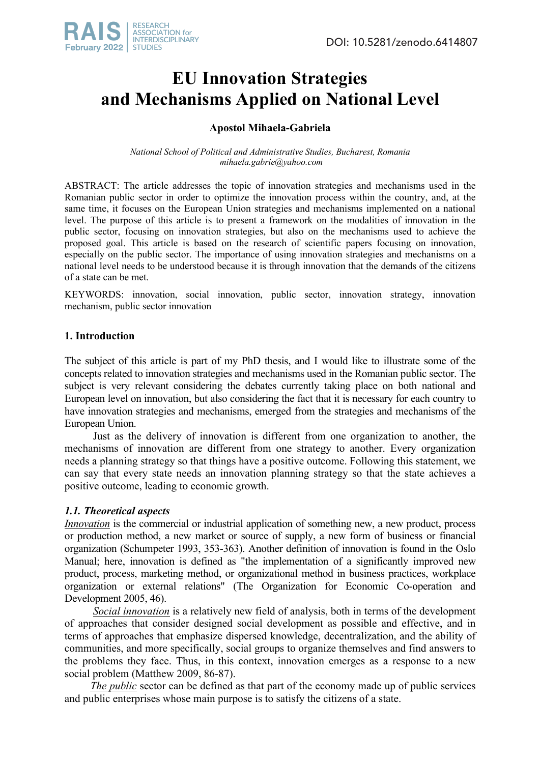

# **EU Innovation Strategies and Mechanisms Applied on National Level**

# **Apostol Mihaela-Gabriela**

*National School of Political and Administrative Studies, Bucharest, Romania mihaela.gabrie@yahoo.com*

ABSTRACT: The article addresses the topic of innovation strategies and mechanisms used in the Romanian public sector in order to optimize the innovation process within the country, and, at the same time, it focuses on the European Union strategies and mechanisms implemented on a national level. The purpose of this article is to present a framework on the modalities of innovation in the public sector, focusing on innovation strategies, but also on the mechanisms used to achieve the proposed goal. This article is based on the research of scientific papers focusing on innovation, especially on the public sector. The importance of using innovation strategies and mechanisms on a national level needs to be understood because it is through innovation that the demands of the citizens of a state can be met.

KEYWORDS: innovation, social innovation, public sector, innovation strategy, innovation mechanism, public sector innovation

## **1. Introduction**

The subject of this article is part of my PhD thesis, and I would like to illustrate some of the concepts related to innovation strategies and mechanisms used in the Romanian public sector. The subject is very relevant considering the debates currently taking place on both national and European level on innovation, but also considering the fact that it is necessary for each country to have innovation strategies and mechanisms, emerged from the strategies and mechanisms of the European Union.

Just as the delivery of innovation is different from one organization to another, the mechanisms of innovation are different from one strategy to another. Every organization needs a planning strategy so that things have a positive outcome. Following this statement, we can say that every state needs an innovation planning strategy so that the state achieves a positive outcome, leading to economic growth.

## *1.1. Theoretical aspects*

*Innovation* is the commercial or industrial application of something new, a new product, process or production method, a new market or source of supply, a new form of business or financial organization (Schumpeter 1993, 353-363). Another definition of innovation is found in the Oslo Manual; here, innovation is defined as "the implementation of a significantly improved new product, process, marketing method, or organizational method in business practices, workplace organization or external relations" (The Organization for Economic Co-operation and Development 2005, 46).

*Social innovation* is a relatively new field of analysis, both in terms of the development of approaches that consider designed social development as possible and effective, and in terms of approaches that emphasize dispersed knowledge, decentralization, and the ability of communities, and more specifically, social groups to organize themselves and find answers to the problems they face. Thus, in this context, innovation emerges as a response to a new social problem (Matthew 2009, 86-87).

*The public* sector can be defined as that part of the economy made up of public services and public enterprises whose main purpose is to satisfy the citizens of a state.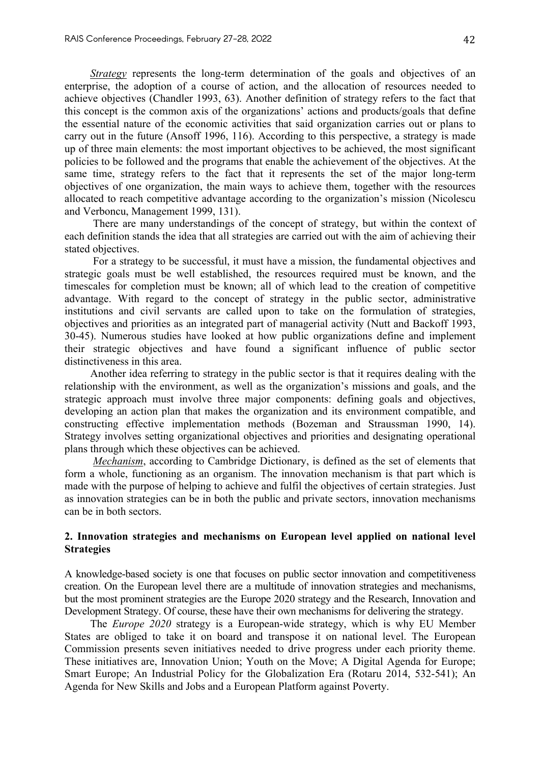*Strategy* represents the long-term determination of the goals and objectives of an enterprise, the adoption of a course of action, and the allocation of resources needed to achieve objectives (Chandler 1993, 63). Another definition of strategy refers to the fact that this concept is the common axis of the organizations' actions and products/goals that define the essential nature of the economic activities that said organization carries out or plans to carry out in the future (Ansoff 1996, 116). According to this perspective, a strategy is made up of three main elements: the most important objectives to be achieved, the most significant policies to be followed and the programs that enable the achievement of the objectives. At the same time, strategy refers to the fact that it represents the set of the major long-term objectives of one organization, the main ways to achieve them, together with the resources allocated to reach competitive advantage according to the organization's mission (Nicolescu and Verboncu, Management 1999, 131).

There are many understandings of the concept of strategy, but within the context of each definition stands the idea that all strategies are carried out with the aim of achieving their stated objectives.

For a strategy to be successful, it must have a mission, the fundamental objectives and strategic goals must be well established, the resources required must be known, and the timescales for completion must be known; all of which lead to the creation of competitive advantage. With regard to the concept of strategy in the public sector, administrative institutions and civil servants are called upon to take on the formulation of strategies, objectives and priorities as an integrated part of managerial activity (Nutt and Backoff 1993, 30-45). Numerous studies have looked at how public organizations define and implement their strategic objectives and have found a significant influence of public sector distinctiveness in this area.

Another idea referring to strategy in the public sector is that it requires dealing with the relationship with the environment, as well as the organization's missions and goals, and the strategic approach must involve three major components: defining goals and objectives, developing an action plan that makes the organization and its environment compatible, and constructing effective implementation methods (Bozeman and Straussman 1990, 14). Strategy involves setting organizational objectives and priorities and designating operational plans through which these objectives can be achieved.

*Mechanism*, according to Cambridge Dictionary, is defined as the set of elements that form a whole, functioning as an organism. The innovation mechanism is that part which is made with the purpose of helping to achieve and fulfil the objectives of certain strategies. Just as innovation strategies can be in both the public and private sectors, innovation mechanisms can be in both sectors.

#### **2. Innovation strategies and mechanisms on European level applied on national level Strategies**

A knowledge-based society is one that focuses on public sector innovation and competitiveness creation. On the European level there are a multitude of innovation strategies and mechanisms, but the most prominent strategies are the Europe 2020 strategy and the Research, Innovation and Development Strategy. Of course, these have their own mechanisms for delivering the strategy.

The *Europe 2020* strategy is a European-wide strategy, which is why EU Member States are obliged to take it on board and transpose it on national level. The European Commission presents seven initiatives needed to drive progress under each priority theme. These initiatives are, Innovation Union; Youth on the Move; A Digital Agenda for Europe; Smart Europe; An Industrial Policy for the Globalization Era (Rotaru 2014, 532-541); An Agenda for New Skills and Jobs and a European Platform against Poverty.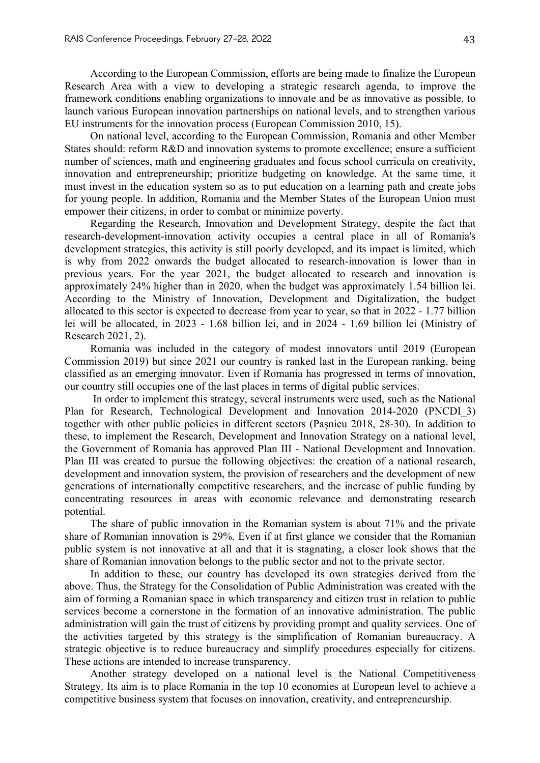According to the European Commission, efforts are being made to finalize the European Research Area with a view to developing a strategic research agenda, to improve the framework conditions enabling organizations to innovate and be as innovative as possible, to launch various European innovation partnerships on national levels, and to strengthen various EU instruments for the innovation process (European Commission 2010, 15).

On national level, according to the European Commission, Romania and other Member States should: reform R&D and innovation systems to promote excellence; ensure a sufficient number of sciences, math and engineering graduates and focus school curricula on creativity, innovation and entrepreneurship; prioritize budgeting on knowledge. At the same time, it must invest in the education system so as to put education on a learning path and create jobs for young people. In addition, Romania and the Member States of the European Union must empower their citizens, in order to combat or minimize poverty.

Regarding the Research, Innovation and Development Strategy, despite the fact that research-development-innovation activity occupies a central place in all of Romania's development strategies, this activity is still poorly developed, and its impact is limited, which is why from 2022 onwards the budget allocated to research-innovation is lower than in previous years. For the year 2021, the budget allocated to research and innovation is approximately 24% higher than in 2020, when the budget was approximately 1.54 billion lei. According to the Ministry of Innovation, Development and Digitalization, the budget allocated to this sector is expected to decrease from year to year, so that in 2022 - 1.77 billion lei will be allocated, in 2023 - 1.68 billion lei, and in 2024 - 1.69 billion lei (Ministry of Research 2021, 2).

Romania was included in the category of modest innovators until 2019 (European Commission 2019) but since 2021 our country is ranked last in the European ranking, being classified as an emerging innovator. Even if Romania has progressed in terms of innovation, our country still occupies one of the last places in terms of digital public services.

In order to implement this strategy, several instruments were used, such as the National Plan for Research, Technological Development and Innovation 2014-2020 (PNCDI\_3) together with other public policies in different sectors (Pașnicu 2018, 28-30). In addition to these, to implement the Research, Development and Innovation Strategy on a national level, the Government of Romania has approved Plan III - National Development and Innovation. Plan III was created to pursue the following objectives: the creation of a national research, development and innovation system, the provision of researchers and the development of new generations of internationally competitive researchers, and the increase of public funding by concentrating resources in areas with economic relevance and demonstrating research potential.

The share of public innovation in the Romanian system is about 71% and the private share of Romanian innovation is 29%. Even if at first glance we consider that the Romanian public system is not innovative at all and that it is stagnating, a closer look shows that the share of Romanian innovation belongs to the public sector and not to the private sector.

In addition to these, our country has developed its own strategies derived from the above. Thus, the Strategy for the Consolidation of Public Administration was created with the aim of forming a Romanian space in which transparency and citizen trust in relation to public services become a cornerstone in the formation of an innovative administration. The public administration will gain the trust of citizens by providing prompt and quality services. One of the activities targeted by this strategy is the simplification of Romanian bureaucracy. A strategic objective is to reduce bureaucracy and simplify procedures especially for citizens. These actions are intended to increase transparency.

Another strategy developed on a national level is the National Competitiveness Strategy. Its aim is to place Romania in the top 10 economies at European level to achieve a competitive business system that focuses on innovation, creativity, and entrepreneurship.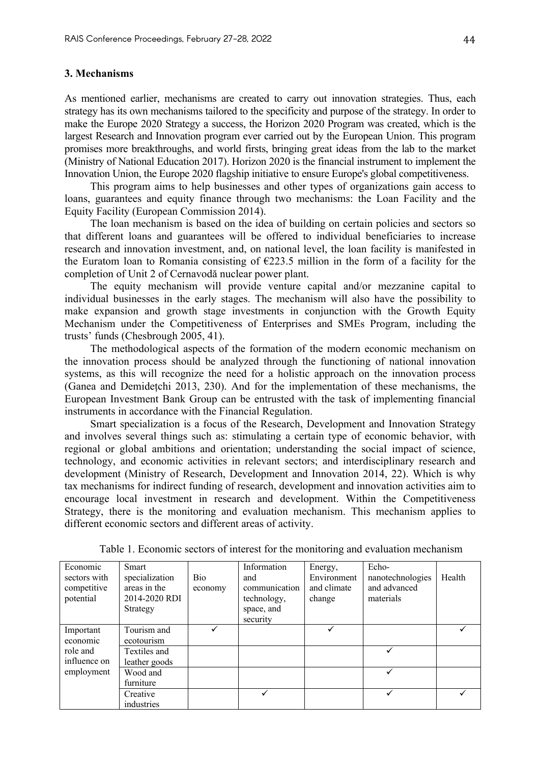#### **3. Mechanisms**

As mentioned earlier, mechanisms are created to carry out innovation strategies. Thus, each strategy has its own mechanisms tailored to the specificity and purpose of the strategy. In order to make the Europe 2020 Strategy a success, the Horizon 2020 Program was created, which is the largest Research and Innovation program ever carried out by the European Union. This program promises more breakthroughs, and world firsts, bringing great ideas from the lab to the market (Ministry of National Education 2017). Horizon 2020 is the financial instrument to implement the Innovation Union, the Europe 2020 flagship initiative to ensure Europe's global competitiveness.

This program aims to help businesses and other types of organizations gain access to loans, guarantees and equity finance through two mechanisms: the Loan Facility and the Equity Facility (European Commission 2014).

The loan mechanism is based on the idea of building on certain policies and sectors so that different loans and guarantees will be offered to individual beneficiaries to increase research and innovation investment, and, on national level, the loan facility is manifested in the Euratom loan to Romania consisting of  $E223.5$  million in the form of a facility for the completion of Unit 2 of Cernavodă nuclear power plant.

The equity mechanism will provide venture capital and/or mezzanine capital to individual businesses in the early stages. The mechanism will also have the possibility to make expansion and growth stage investments in conjunction with the Growth Equity Mechanism under the Competitiveness of Enterprises and SMEs Program, including the trusts' funds (Chesbrough 2005, 41).

The methodological aspects of the formation of the modern economic mechanism on the innovation process should be analyzed through the functioning of national innovation systems, as this will recognize the need for a holistic approach on the innovation process (Ganea and Demidețchi 2013, 230). And for the implementation of these mechanisms, the European Investment Bank Group can be entrusted with the task of implementing financial instruments in accordance with the Financial Regulation.

Smart specialization is a focus of the Research, Development and Innovation Strategy and involves several things such as: stimulating a certain type of economic behavior, with regional or global ambitions and orientation; understanding the social impact of science, technology, and economic activities in relevant sectors; and interdisciplinary research and development (Ministry of Research, Development and Innovation 2014, 22). Which is why tax mechanisms for indirect funding of research, development and innovation activities aim to encourage local investment in research and development. Within the Competitiveness Strategy, there is the monitoring and evaluation mechanism. This mechanism applies to different economic sectors and different areas of activity.

| Economic     | Smart          |            | Information   | Energy,     | Echo-            |        |
|--------------|----------------|------------|---------------|-------------|------------------|--------|
| sectors with | specialization | <b>Bio</b> | and           | Environment | nanotechnologies | Health |
| competitive  | areas in the   | economy    | communication | and climate | and advanced     |        |
| potential    | 2014-2020 RDI  |            | technology,   | change      | materials        |        |
|              | Strategy       |            | space, and    |             |                  |        |
|              |                |            | security      |             |                  |        |
| Important    | Tourism and    |            |               |             |                  |        |
| economic     | ecotourism     |            |               |             |                  |        |
| role and     | Textiles and   |            |               |             |                  |        |
| influence on | leather goods  |            |               |             |                  |        |
| employment   | Wood and       |            |               |             |                  |        |
|              | furniture      |            |               |             |                  |        |
|              | Creative       |            |               |             |                  |        |
|              | industries     |            |               |             |                  |        |

Table 1. Economic sectors of interest for the monitoring and evaluation mechanism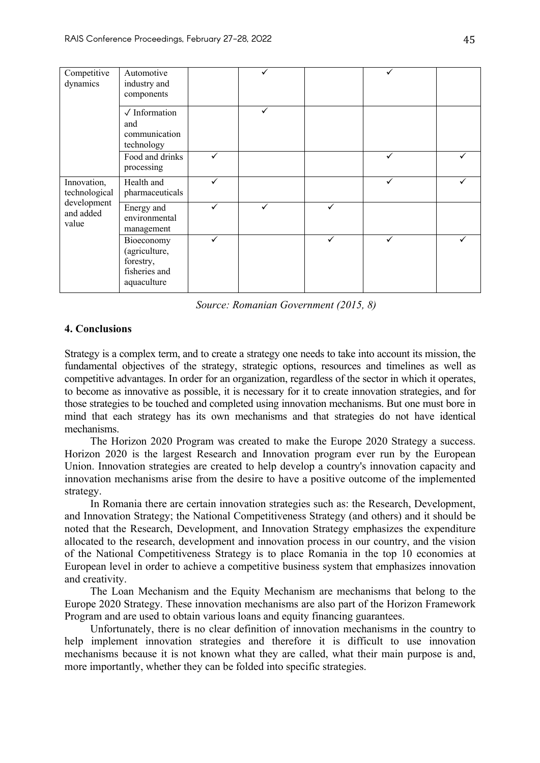| Competitive<br>dynamics                                           | Automotive<br>industry and<br>components                                 |              |   |   |  |
|-------------------------------------------------------------------|--------------------------------------------------------------------------|--------------|---|---|--|
|                                                                   | $\sqrt{}$ Information<br>and<br>communication<br>technology              | $\checkmark$ |   |   |  |
|                                                                   | Food and drinks<br>processing                                            |              |   | ✓ |  |
| Innovation,<br>technological<br>development<br>and added<br>value | Health and<br>pharmaceuticals                                            |              |   | ✓ |  |
|                                                                   | Energy and<br>environmental<br>management                                |              | ✓ |   |  |
|                                                                   | Bioeconomy<br>(agriculture,<br>forestry,<br>fisheries and<br>aquaculture |              | ✓ |   |  |

*Source: Romanian Government (2015, 8)*

#### **4. Conclusions**

Strategy is a complex term, and to create a strategy one needs to take into account its mission, the fundamental objectives of the strategy, strategic options, resources and timelines as well as competitive advantages. In order for an organization, regardless of the sector in which it operates, to become as innovative as possible, it is necessary for it to create innovation strategies, and for those strategies to be touched and completed using innovation mechanisms. But one must bore in mind that each strategy has its own mechanisms and that strategies do not have identical mechanisms.

The Horizon 2020 Program was created to make the Europe 2020 Strategy a success. Horizon 2020 is the largest Research and Innovation program ever run by the European Union. Innovation strategies are created to help develop a country's innovation capacity and innovation mechanisms arise from the desire to have a positive outcome of the implemented strategy.

In Romania there are certain innovation strategies such as: the Research, Development, and Innovation Strategy; the National Competitiveness Strategy (and others) and it should be noted that the Research, Development, and Innovation Strategy emphasizes the expenditure allocated to the research, development and innovation process in our country, and the vision of the National Competitiveness Strategy is to place Romania in the top 10 economies at European level in order to achieve a competitive business system that emphasizes innovation and creativity.

The Loan Mechanism and the Equity Mechanism are mechanisms that belong to the Europe 2020 Strategy. These innovation mechanisms are also part of the Horizon Framework Program and are used to obtain various loans and equity financing guarantees.

Unfortunately, there is no clear definition of innovation mechanisms in the country to help implement innovation strategies and therefore it is difficult to use innovation mechanisms because it is not known what they are called, what their main purpose is and, more importantly, whether they can be folded into specific strategies.